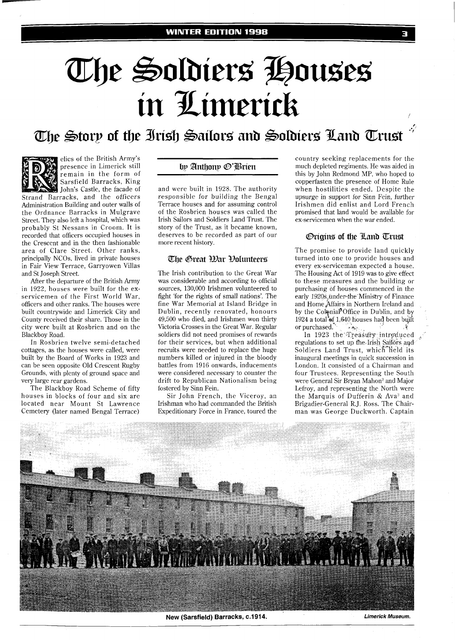# The Soldiers Houses in Limerick

The Story of the Irish Sailors and Soldiers Land Trust



elics of the British Army's presence in Limerick still remain in the form of Sarsfield Barracks, King John's Castle, the facade of

Strand Barracks, and the officers Administration Building and outer walls of the Ordnance Barracks in Mulgrave Street. They also left a hospital, which was probably St Nessans in Croom. It is recorded that officers occupied houses in the Crescent and in the then fashionable area of Clare Street. Other ranks, principally NCOs, lived in private houses in Fair View Terrace, Garryowen Villas and St Joseph Street.

After the departure of the British Army in 1922, houses were built for the exservicemen of the First World War, officers and other ranks. The houses were built countrywide and Limerick City and County received their share. Those in the city were built at Rosbrien and on the Blackboy Road.

In Rosbrien twelve semi-detached cottages, as the houses were called, were built by the Board of Works in 1923 and can be seen opposite Old Crescent Rugby Grounds, with plenty of ground space and very large rear gardens.

The Blackboy Road Scheme of fifty houses in blocks of four and six are located near Mount St Lawrence Cemetery (later named Bengal Terrace)

# by Anthony @'Brien

and were built in 1928. The authority responsible for building the Bengal Terrace houses and for assuming control of the Rosbrien houses was called the Irish Sailors and Soldiers Land Trust. The story of the Trust, as it became known, deserves to be recorded as part of our more recent history.

## The Great *War Polunteers*

The Irish contribution to the Great War was considerable and according to official sources, 130,000 Irishmen volunteered to fight 'for the rights of small nations'. The fine War Memorial at Island Bridge in Dublin, recently renovated, honours 49,500 who died, and Irishmen won thirty Victoria Crosses in the Great War. Regular soldiers did not need promises of rewards for their services, but when additional recruits were needed to replace the huge numbers killed or injured in the bloody battles from 1916 onwards, inducements were considered necessary to counter the drift to Republican Nationalism being fostered by Sinn Fein.

Sir John French, the Viceroy, an Irishman who had commanded the British Expeditionary Force in France, toured the

country seeking replacements for the much depleted regiments. He was aided in this by John Redmond MP, who hoped to copperfasten the presence of Home Rule when hostilities ended. Despite the upsurge in support for Sinn Fein, further Irishmen did enlist and Lord French promised that land would be available for ex-servicemen when the war ended.

## **Origins of the Land Trust**

The promise to provide land quickly turned into one to provide houses and every ex-serviceman expected a house. The Housing Act of 1919 was to give effect to these measures and the building or purchasing of houses commenced in the early 1920s under the Ministry of Finance and Home Affairs in Northern Ireland and by the Colonial<sup>#</sup>Office in Dublin, and by 1924 a total of 1,640 houses had been built or purchased. *...* 

In 1923 the Treasury introduced regulations to set up the Irish Sailors and Soldiers Land Trust, which Held its inaugural meetings in quick succession in London. It consisted of a Chairman and four Trustees. Representing the South were General Sir Bryan Mahon2 and Major Lefroy, and representing the North were the Marquis of Dufferin  $&$  Ava<sup>3</sup> and Brigadier-General R.J. Ross. The Chairman was George Duckworth. Captain



**New (Sarsfield) Barracks, c.1914. Limerick Museum.**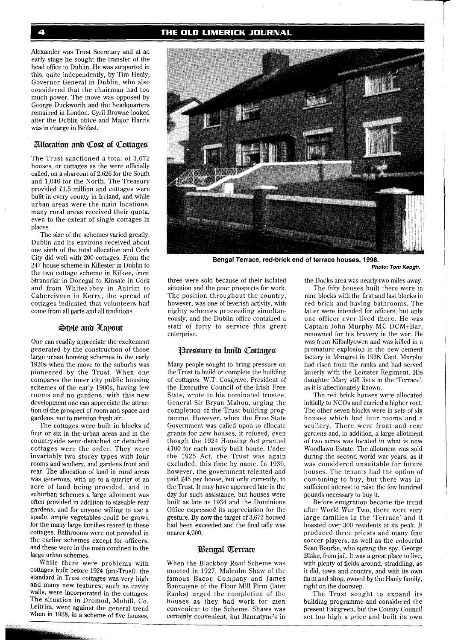Alexander was Trust Secretary and at an early stage he sought the transfer of the head office to Dublin. He was supported in this, quite independently, by Tim Healy, Governor General in Dublin, who also considered that the chairman had too much power. The move was opposed by George Duckworth and the headquarters remained in London. Cyril Browne looked after the Dublin office and Major Harris was in charge in Belfast.

## Allocation and Cost of Cottages

The Trust sanctioned a total of 3,672 houses, or cottages as the were officially called, on a shareout of 2,626 for the South and 1,046 for the North. The Treasury provided £1.5 million and cottages were built in every county in Ireland, and while urban areas were the main locations, many rural areas received their quota, even to the extent of single cottages in places.

The size of the schemes varied greatly. Dublin and its environs received about one sixth of the total allocation and Cork City did well with 200 cottages. From the 247 house scheme in Killester in Dublin to the two cottage scheme in Kilkee, from Stranorlar in Donegal to Kinsale in Cork and from Whiteabbey in Antrim to Caherciveen in Kerry, the spread of cottages indicated that volunteers had come from all parts and all traditions.

#### Style and Layout

One can readily appreciate the excitement generated by the construction of those large urban housing schemes in the early 1920s when the move to the suburbs was pioneered by the Trust. When one compares the inner city public housing schemes of the early 1900s, having few rooms and no gardens, with this new development one can appreciate the attraction of the prospect of room and space and gardens, not to mentiop fresh air.

The cottages were built in blocks of four or six in the urban areas and in the countryside semi-detached or detached cottages were the order. They were invariably two storey types with four rooms and scullery, and gardens front and rear. The allocation of land in rural areas was generous, with up to a quarter of an acre of land being provided, and in suburban schemes a large allotment was often provided in addition to sizeable rear gardens, and for anyone willing to use a spade, ample vegetables could be grown for the many large families reared in these cottages. Bathrooms were not provided in the earlier schemes except for officers, and these were in the main confined to the large urban schemes.

While there were problems with cottages built before 1924 (pre-Trust), the standard in Trust cottages was very high and many new features, such as cavity walls, were incorporated in the cottages. The situation in Dromod, Mohill, Co. Leitrim, Went against the general trend when in 1928, in a scheme of five houses,

eighty schemes proceeding simultaneously, and the Dublin office contained a staff of forty to service this great enterprise. Pressure to build Cottages

three were sold because of their isolated situation and the poor prospects for work. The position throughout the country, however, was one of feverish activity, with

Many people sought to bring pressure on the Trust to build or complete the building of cottages. W.T. Cosgrave, President of the Executive Council of the Irish Free State, wrote to his nominated trustee, General Sir Bryan Mahon, urging the completion of the Trust building programme. However, when the Free State Government was called upon to allocate grants for new houses, it refused, even though the 1924 Housing Act granted £100 for each newly built house. Under the 1925 Act, the Trust was again excluded, this time by name. In 1930, however, the government relented and paid £45 per house, but only currently, to the Trust. It may have appeared late in the day for such assistance, but houses were built as late as 1934 and the Dominions Office expressed its appreciation for the gesture. By now the target of 3,672 housed had been exceeded and the final tally was nearer 4,000.

#### **Bengal Terrace**

When the Blackboy Road Scheme was mooted in 1927, Malcolm Shaw of the famous Bacon Company and James Bannatyne of the Flour Mill Firm (later Ranks) urged the completion of the houses as they had work for men convenient to the Scheme. Shaws was certainly convenient, but Bannatyne's in

the Docks area was nearly two miles away.

The fifty houses built there were in nine blocks with the first and last blocks in red brick and having bathrooms. The latter were intended for officers, but only one officer ever lived there. He was Captain John Murphy MC DCM+Bar, renowned for his bravery in the war. He was from Kilballyowen and was killed in a premature explosion in the new cement factory in Mungret in 1936. Capt. Murphy had risen from the ranks and had served latterly with the Leinster Regiment. His daughter Mary still lives in the 'Terrace', as it is affectionately known.

The red brick houses were allocated initially to NCOs and carried a higher rent. The other seven blocks were in sets of six houses which had four rooms and a scullery. There were front and rear gardens and, in addition, a large allotment of two acres was located in what is now Woodlawn Estate. The allotment was sold during the second world war years, as it was considered unsuitable for future houses. The tenants had the option of combining to buy, but there was insufficient interest to raise the few hundred pounds necessary to buy it.

Before emigration became the trend after World War Two, there were very large families in the 'Terrace' and it boasted over 300 residents at its peak. It produced three priests and many fine soccer players, as well as the colourful Sean Bourke, who sprang the spy, George Blake, from jail. It was a great place to live, with plenty of fields around, straddling, as it did, town and country, and with its own farm and shop, owned by the Hanly family, right on the doorstep.

The Trust sought to expand its building programme and considered the present Fairgreen, but the County Council set too high a price and built its own